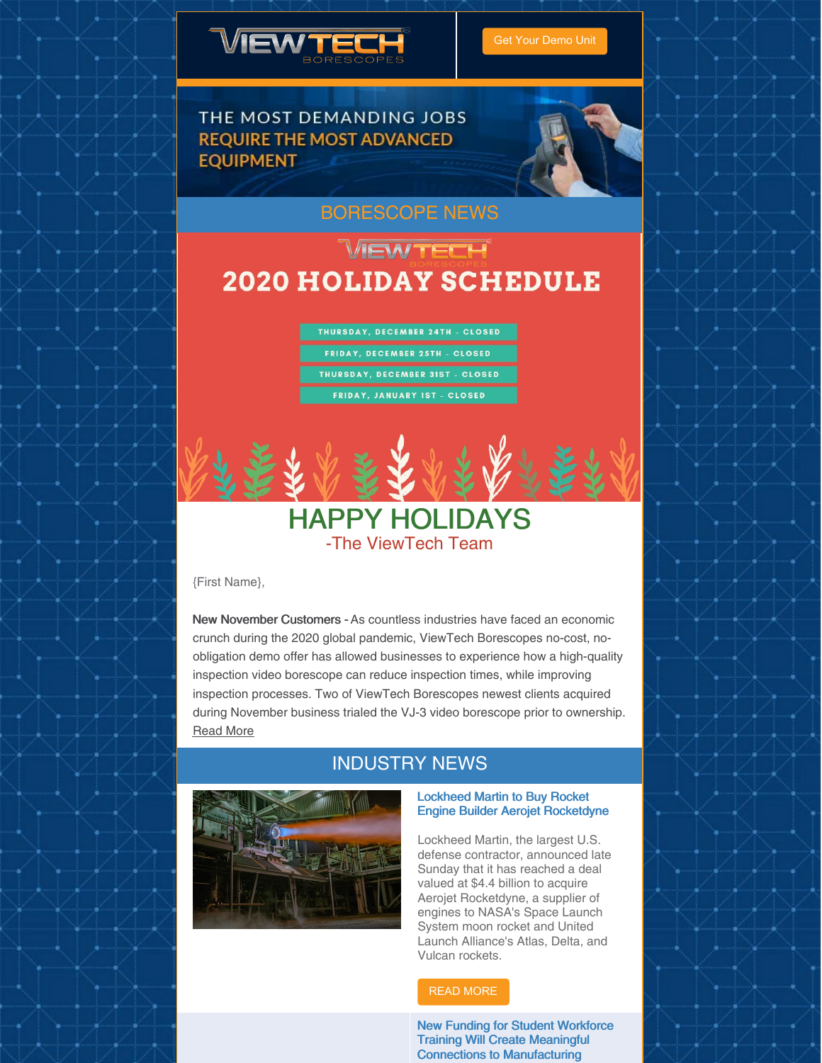

Get Your [Demo](https://www.viewtech.com/borescope-demo-offer/?utm_source=newsletter&utm_medium=email&utm_campaign=newsletter1220) Unit

### THE MOST DEMANDING JOBS **REQUIRE THE MOST ADVANCED EQUIPMENT**



# [BORESCOPE](https://www.viewtech.com/news/?utm_source=newsletter&utm_medium=email&utm_campaign=newsletter1220) NEWS

# VIEWTECH **2020 HOLIDAY SCHEDULE**

THURSDAY, DECEMBER 24TH - CLOSED FRIDAY, DECEMBER 25TH - CLOSED THURSDAY, DECEMBER 31ST - CLOSED FRIDAY, JANUARY 1ST - CLOSED

# HAPPY HOLIDAYS -The ViewTech Team

{First Name},

New November Customers - As countless industries have faced an economic crunch during the 2020 global pandemic, ViewTech Borescopes no-cost, noobligation demo offer has allowed businesses to experience how a high-quality inspection video borescope can reduce inspection times, while improving inspection processes. Two of ViewTech Borescopes newest clients acquired during November business trialed the VJ-3 video borescope prior to ownership. [Read](https://www.viewtech.com/viewtech-borescopes-gains-sales-as-inspection-scope-demand-growth-continues/?utm_source=newsletter&utm_medium=email&utm_campaign=newsletter1220) More



# INDUSTRY NEWS

#### Lockheed Martin to Buy Rocket Engine Builder Aerojet Rocketdyne

Lockheed Martin, the largest U.S. defense contractor, announced late Sunday that it has reached a deal valued at \$4.4 billion to acquire Aerojet Rocketdyne, a supplier of engines to NASA's Space Launch System moon rocket and United Launch Alliance's Atlas, Delta, and Vulcan rockets.

#### READ [MORE](https://spaceflightnow.com/2020/12/21/lockheed-martin-to-buy-rocket-engine-builder-aerojet-rocketdyne/)

New Funding for Student Workforce Training Will Create Meaningful Connections to Manufacturing